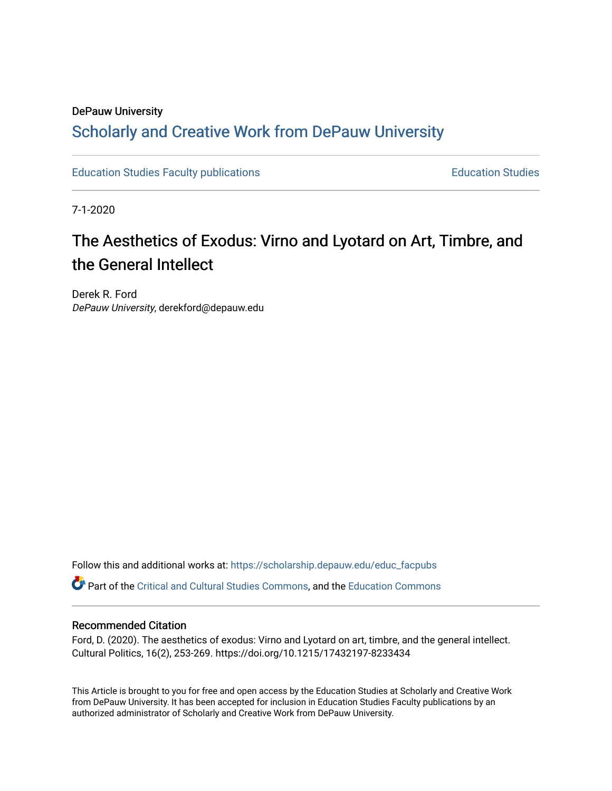# DePauw University

# Scholarly and [Creative Work from DePauw Univ](https://scholarship.depauw.edu/)ersity

[Education Studies Faculty publications](https://scholarship.depauw.edu/educ_facpubs) **Education Studies** Education Studies

7-1-2020

# The Aesthetics of Exodus: Virno and Lyotard on Art, Timbre, and the General Intellect

Derek R. Ford DePauw University, derekford@depauw.edu

Follow this and additional works at: [https://scholarship.depauw.edu/educ\\_facpubs](https://scholarship.depauw.edu/educ_facpubs?utm_source=scholarship.depauw.edu%2Feduc_facpubs%2F20&utm_medium=PDF&utm_campaign=PDFCoverPages)

Part of the [Critical and Cultural Studies Commons](https://network.bepress.com/hgg/discipline/328?utm_source=scholarship.depauw.edu%2Feduc_facpubs%2F20&utm_medium=PDF&utm_campaign=PDFCoverPages), and the [Education Commons](https://network.bepress.com/hgg/discipline/784?utm_source=scholarship.depauw.edu%2Feduc_facpubs%2F20&utm_medium=PDF&utm_campaign=PDFCoverPages)

#### Recommended Citation

Ford, D. (2020). The aesthetics of exodus: Virno and Lyotard on art, timbre, and the general intellect. Cultural Politics, 16(2), 253-269. https://doi.org/10.1215/17432197-8233434

This Article is brought to you for free and open access by the Education Studies at Scholarly and Creative Work from DePauw University. It has been accepted for inclusion in Education Studies Faculty publications by an authorized administrator of Scholarly and Creative Work from DePauw University.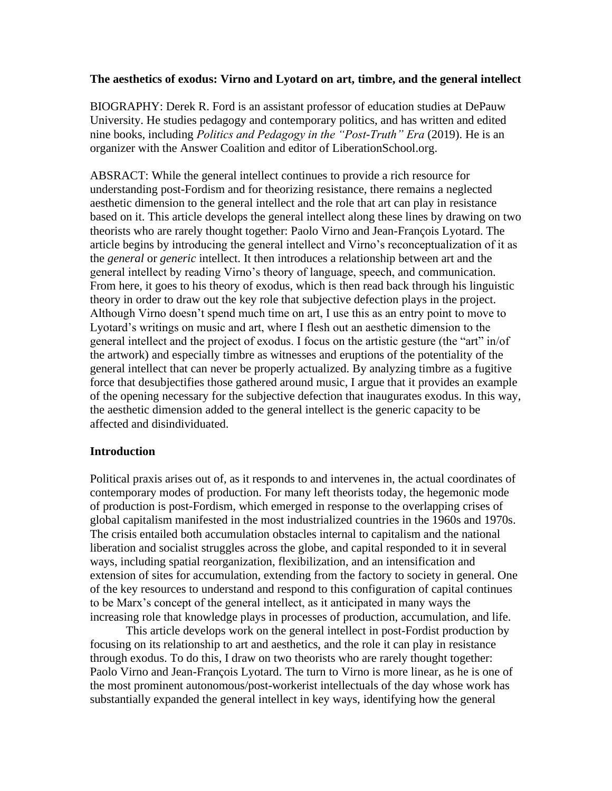## **The aesthetics of exodus: Virno and Lyotard on art, timbre, and the general intellect**

BIOGRAPHY: Derek R. Ford is an assistant professor of education studies at DePauw University. He studies pedagogy and contemporary politics, and has written and edited nine books, including *Politics and Pedagogy in the "Post-Truth" Era* (2019). He is an organizer with the Answer Coalition and editor of LiberationSchool.org.

ABSRACT: While the general intellect continues to provide a rich resource for understanding post-Fordism and for theorizing resistance, there remains a neglected aesthetic dimension to the general intellect and the role that art can play in resistance based on it. This article develops the general intellect along these lines by drawing on two theorists who are rarely thought together: Paolo Virno and Jean-François Lyotard. The article begins by introducing the general intellect and Virno's reconceptualization of it as the *general* or *generic* intellect. It then introduces a relationship between art and the general intellect by reading Virno's theory of language, speech, and communication. From here, it goes to his theory of exodus, which is then read back through his linguistic theory in order to draw out the key role that subjective defection plays in the project. Although Virno doesn't spend much time on art, I use this as an entry point to move to Lyotard's writings on music and art, where I flesh out an aesthetic dimension to the general intellect and the project of exodus. I focus on the artistic gesture (the "art" in/of the artwork) and especially timbre as witnesses and eruptions of the potentiality of the general intellect that can never be properly actualized. By analyzing timbre as a fugitive force that desubjectifies those gathered around music, I argue that it provides an example of the opening necessary for the subjective defection that inaugurates exodus. In this way, the aesthetic dimension added to the general intellect is the generic capacity to be affected and disindividuated.

# **Introduction**

Political praxis arises out of, as it responds to and intervenes in, the actual coordinates of contemporary modes of production. For many left theorists today, the hegemonic mode of production is post-Fordism, which emerged in response to the overlapping crises of global capitalism manifested in the most industrialized countries in the 1960s and 1970s. The crisis entailed both accumulation obstacles internal to capitalism and the national liberation and socialist struggles across the globe, and capital responded to it in several ways, including spatial reorganization, flexibilization, and an intensification and extension of sites for accumulation, extending from the factory to society in general. One of the key resources to understand and respond to this configuration of capital continues to be Marx's concept of the general intellect, as it anticipated in many ways the increasing role that knowledge plays in processes of production, accumulation, and life.

This article develops work on the general intellect in post-Fordist production by focusing on its relationship to art and aesthetics, and the role it can play in resistance through exodus. To do this, I draw on two theorists who are rarely thought together: Paolo Virno and Jean-François Lyotard. The turn to Virno is more linear, as he is one of the most prominent autonomous/post-workerist intellectuals of the day whose work has substantially expanded the general intellect in key ways, identifying how the general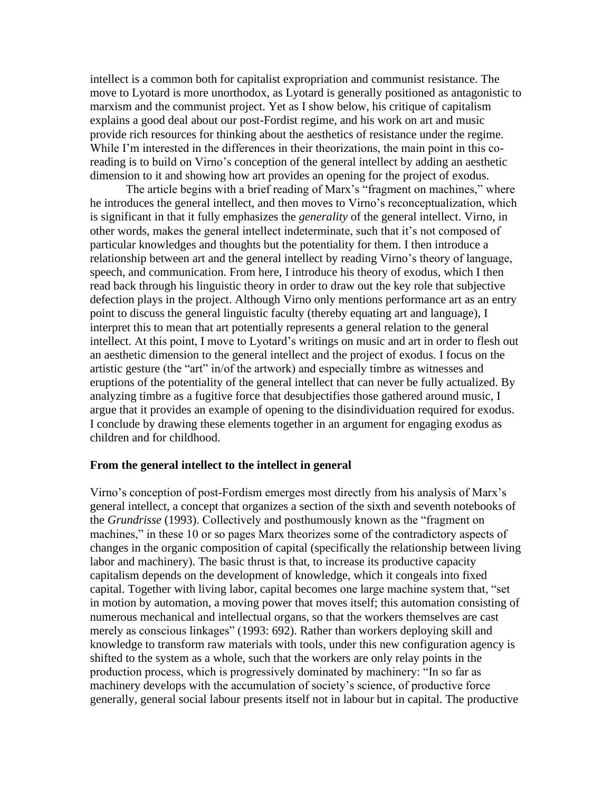intellect is a common both for capitalist expropriation and communist resistance. The move to Lyotard is more unorthodox, as Lyotard is generally positioned as antagonistic to marxism and the communist project. Yet as I show below, his critique of capitalism explains a good deal about our post-Fordist regime, and his work on art and music provide rich resources for thinking about the aesthetics of resistance under the regime. While I'm interested in the differences in their theorizations, the main point in this coreading is to build on Virno's conception of the general intellect by adding an aesthetic dimension to it and showing how art provides an opening for the project of exodus.

The article begins with a brief reading of Marx's "fragment on machines," where he introduces the general intellect, and then moves to Virno's reconceptualization, which is significant in that it fully emphasizes the *generality* of the general intellect. Virno, in other words, makes the general intellect indeterminate, such that it's not composed of particular knowledges and thoughts but the potentiality for them. I then introduce a relationship between art and the general intellect by reading Virno's theory of language, speech, and communication. From here, I introduce his theory of exodus, which I then read back through his linguistic theory in order to draw out the key role that subjective defection plays in the project. Although Virno only mentions performance art as an entry point to discuss the general linguistic faculty (thereby equating art and language), I interpret this to mean that art potentially represents a general relation to the general intellect. At this point, I move to Lyotard's writings on music and art in order to flesh out an aesthetic dimension to the general intellect and the project of exodus. I focus on the artistic gesture (the "art" in/of the artwork) and especially timbre as witnesses and eruptions of the potentiality of the general intellect that can never be fully actualized. By analyzing timbre as a fugitive force that desubjectifies those gathered around music, I argue that it provides an example of opening to the disindividuation required for exodus. I conclude by drawing these elements together in an argument for engaging exodus as children and for childhood.

#### **From the general intellect to the intellect in general**

Virno's conception of post-Fordism emerges most directly from his analysis of Marx's general intellect, a concept that organizes a section of the sixth and seventh notebooks of the *Grundrisse* (1993). Collectively and posthumously known as the "fragment on machines," in these 10 or so pages Marx theorizes some of the contradictory aspects of changes in the organic composition of capital (specifically the relationship between living labor and machinery). The basic thrust is that, to increase its productive capacity capitalism depends on the development of knowledge, which it congeals into fixed capital. Together with living labor, capital becomes one large machine system that, "set in motion by automation, a moving power that moves itself; this automation consisting of numerous mechanical and intellectual organs, so that the workers themselves are cast merely as conscious linkages" (1993: 692). Rather than workers deploying skill and knowledge to transform raw materials with tools, under this new configuration agency is shifted to the system as a whole, such that the workers are only relay points in the production process, which is progressively dominated by machinery: "In so far as machinery develops with the accumulation of society's science, of productive force generally, general social labour presents itself not in labour but in capital. The productive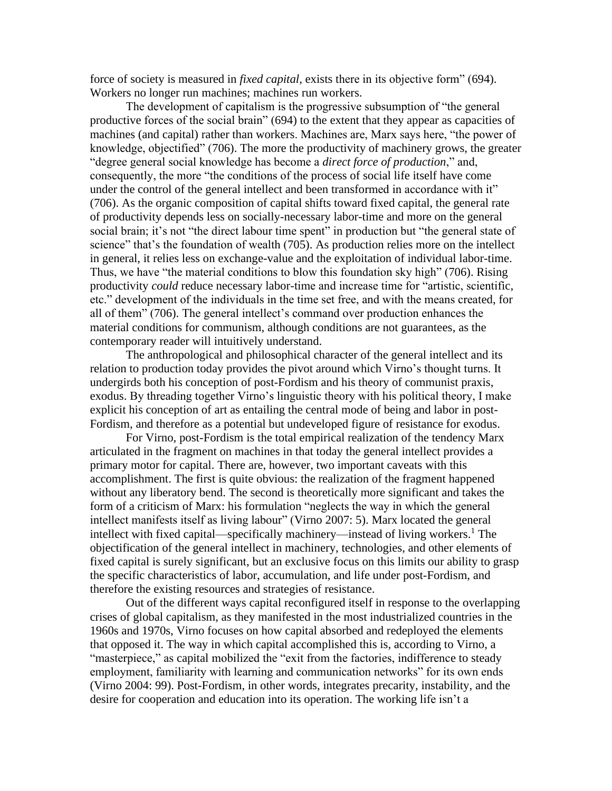force of society is measured in *fixed capital*, exists there in its objective form" (694). Workers no longer run machines; machines run workers.

The development of capitalism is the progressive subsumption of "the general productive forces of the social brain" (694) to the extent that they appear as capacities of machines (and capital) rather than workers. Machines are, Marx says here, "the power of knowledge, objectified" (706). The more the productivity of machinery grows, the greater "degree general social knowledge has become a *direct force of production*," and, consequently, the more "the conditions of the process of social life itself have come under the control of the general intellect and been transformed in accordance with it" (706). As the organic composition of capital shifts toward fixed capital, the general rate of productivity depends less on socially-necessary labor-time and more on the general social brain; it's not "the direct labour time spent" in production but "the general state of science" that's the foundation of wealth (705). As production relies more on the intellect in general, it relies less on exchange-value and the exploitation of individual labor-time. Thus, we have "the material conditions to blow this foundation sky high" (706). Rising productivity *could* reduce necessary labor-time and increase time for "artistic, scientific, etc." development of the individuals in the time set free, and with the means created, for all of them" (706). The general intellect's command over production enhances the material conditions for communism, although conditions are not guarantees, as the contemporary reader will intuitively understand.

The anthropological and philosophical character of the general intellect and its relation to production today provides the pivot around which Virno's thought turns. It undergirds both his conception of post-Fordism and his theory of communist praxis, exodus. By threading together Virno's linguistic theory with his political theory, I make explicit his conception of art as entailing the central mode of being and labor in post-Fordism, and therefore as a potential but undeveloped figure of resistance for exodus.

For Virno, post-Fordism is the total empirical realization of the tendency Marx articulated in the fragment on machines in that today the general intellect provides a primary motor for capital. There are, however, two important caveats with this accomplishment. The first is quite obvious: the realization of the fragment happened without any liberatory bend. The second is theoretically more significant and takes the form of a criticism of Marx: his formulation "neglects the way in which the general intellect manifests itself as living labour" (Virno 2007: 5). Marx located the general intellect with fixed capital—specifically machinery—instead of living workers.<sup>1</sup> The objectification of the general intellect in machinery, technologies, and other elements of fixed capital is surely significant, but an exclusive focus on this limits our ability to grasp the specific characteristics of labor, accumulation, and life under post-Fordism, and therefore the existing resources and strategies of resistance.

Out of the different ways capital reconfigured itself in response to the overlapping crises of global capitalism, as they manifested in the most industrialized countries in the 1960s and 1970s, Virno focuses on how capital absorbed and redeployed the elements that opposed it. The way in which capital accomplished this is, according to Virno, a "masterpiece," as capital mobilized the "exit from the factories, indifference to steady employment, familiarity with learning and communication networks" for its own ends (Virno 2004: 99). Post-Fordism, in other words, integrates precarity, instability, and the desire for cooperation and education into its operation. The working life isn't a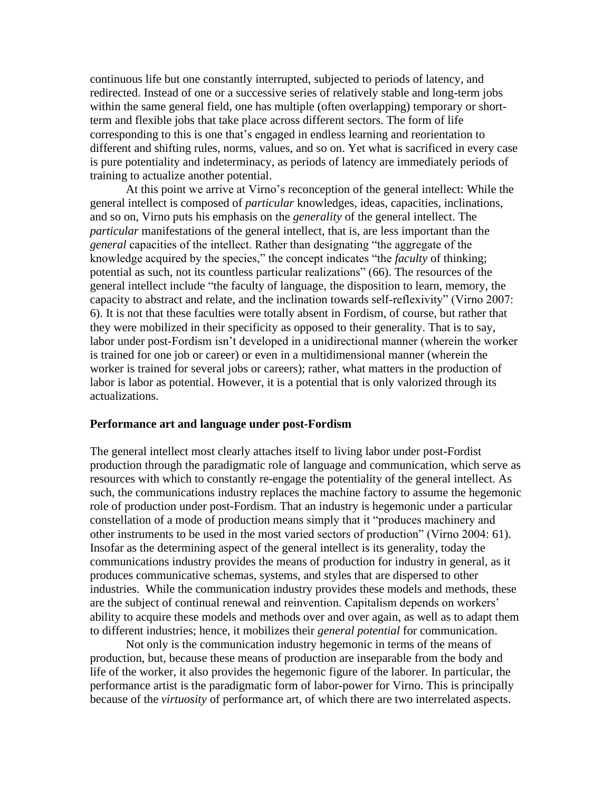continuous life but one constantly interrupted, subjected to periods of latency, and redirected. Instead of one or a successive series of relatively stable and long-term jobs within the same general field, one has multiple (often overlapping) temporary or shortterm and flexible jobs that take place across different sectors. The form of life corresponding to this is one that's engaged in endless learning and reorientation to different and shifting rules, norms, values, and so on. Yet what is sacrificed in every case is pure potentiality and indeterminacy, as periods of latency are immediately periods of training to actualize another potential.

At this point we arrive at Virno's reconception of the general intellect: While the general intellect is composed of *particular* knowledges, ideas, capacities, inclinations, and so on, Virno puts his emphasis on the *generality* of the general intellect. The *particular* manifestations of the general intellect, that is, are less important than the *general* capacities of the intellect. Rather than designating "the aggregate of the knowledge acquired by the species," the concept indicates "the *faculty* of thinking; potential as such, not its countless particular realizations" (66). The resources of the general intellect include "the faculty of language, the disposition to learn, memory, the capacity to abstract and relate, and the inclination towards self-reflexivity" (Virno 2007: 6). It is not that these faculties were totally absent in Fordism, of course, but rather that they were mobilized in their specificity as opposed to their generality. That is to say, labor under post-Fordism isn't developed in a unidirectional manner (wherein the worker is trained for one job or career) or even in a multidimensional manner (wherein the worker is trained for several jobs or careers); rather, what matters in the production of labor is labor as potential. However, it is a potential that is only valorized through its actualizations.

#### **Performance art and language under post-Fordism**

The general intellect most clearly attaches itself to living labor under post-Fordist production through the paradigmatic role of language and communication, which serve as resources with which to constantly re-engage the potentiality of the general intellect. As such, the communications industry replaces the machine factory to assume the hegemonic role of production under post-Fordism. That an industry is hegemonic under a particular constellation of a mode of production means simply that it "produces machinery and other instruments to be used in the most varied sectors of production" (Virno 2004: 61). Insofar as the determining aspect of the general intellect is its generality, today the communications industry provides the means of production for industry in general, as it produces communicative schemas, systems, and styles that are dispersed to other industries. While the communication industry provides these models and methods, these are the subject of continual renewal and reinvention. Capitalism depends on workers' ability to acquire these models and methods over and over again, as well as to adapt them to different industries; hence, it mobilizes their *general potential* for communication.

Not only is the communication industry hegemonic in terms of the means of production, but, because these means of production are inseparable from the body and life of the worker, it also provides the hegemonic figure of the laborer. In particular, the performance artist is the paradigmatic form of labor-power for Virno. This is principally because of the *virtuosity* of performance art, of which there are two interrelated aspects.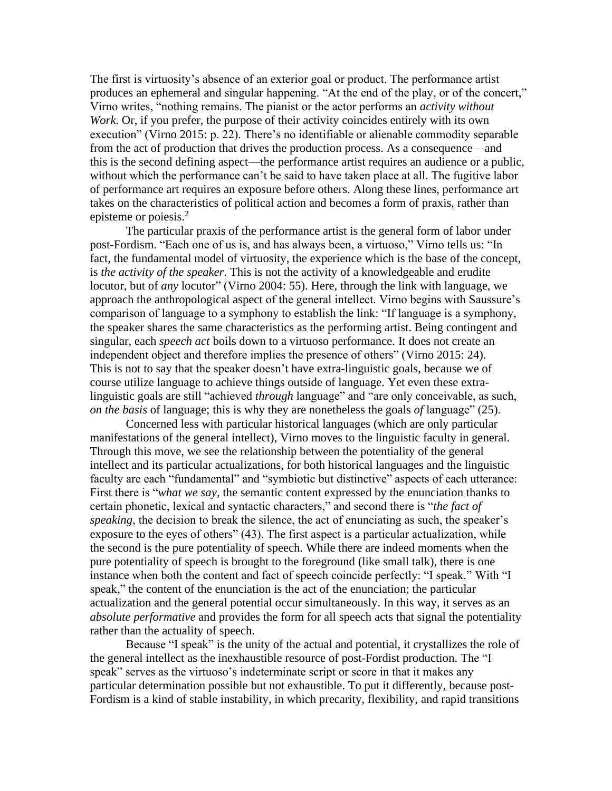The first is virtuosity's absence of an exterior goal or product. The performance artist produces an ephemeral and singular happening. "At the end of the play, or of the concert," Virno writes, "nothing remains. The pianist or the actor performs an *activity without Work*. Or, if you prefer, the purpose of their activity coincides entirely with its own execution" (Virno 2015: p. 22). There's no identifiable or alienable commodity separable from the act of production that drives the production process. As a consequence—and this is the second defining aspect—the performance artist requires an audience or a public, without which the performance can't be said to have taken place at all. The fugitive labor of performance art requires an exposure before others. Along these lines, performance art takes on the characteristics of political action and becomes a form of praxis, rather than episteme or poiesis.<sup>2</sup>

The particular praxis of the performance artist is the general form of labor under post-Fordism. "Each one of us is, and has always been, a virtuoso," Virno tells us: "In fact, the fundamental model of virtuosity, the experience which is the base of the concept, is *the activity of the speaker*. This is not the activity of a knowledgeable and erudite locutor, but of *any* locutor" (Virno 2004: 55). Here, through the link with language, we approach the anthropological aspect of the general intellect. Virno begins with Saussure's comparison of language to a symphony to establish the link: "If language is a symphony, the speaker shares the same characteristics as the performing artist. Being contingent and singular, each *speech act* boils down to a virtuoso performance. It does not create an independent object and therefore implies the presence of others" (Virno 2015: 24). This is not to say that the speaker doesn't have extra-linguistic goals, because we of course utilize language to achieve things outside of language. Yet even these extralinguistic goals are still "achieved *through* language" and "are only conceivable, as such, *on the basis* of language; this is why they are nonetheless the goals *of* language" (25).

Concerned less with particular historical languages (which are only particular manifestations of the general intellect), Virno moves to the linguistic faculty in general. Through this move, we see the relationship between the potentiality of the general intellect and its particular actualizations, for both historical languages and the linguistic faculty are each "fundamental" and "symbiotic but distinctive" aspects of each utterance: First there is "*what we say*, the semantic content expressed by the enunciation thanks to certain phonetic, lexical and syntactic characters," and second there is "*the fact of speaking*, the decision to break the silence, the act of enunciating as such, the speaker's exposure to the eyes of others" (43). The first aspect is a particular actualization, while the second is the pure potentiality of speech. While there are indeed moments when the pure potentiality of speech is brought to the foreground (like small talk), there is one instance when both the content and fact of speech coincide perfectly: "I speak." With "I speak," the content of the enunciation is the act of the enunciation; the particular actualization and the general potential occur simultaneously. In this way, it serves as an *absolute performative* and provides the form for all speech acts that signal the potentiality rather than the actuality of speech.

Because "I speak" is the unity of the actual and potential, it crystallizes the role of the general intellect as the inexhaustible resource of post-Fordist production. The "I speak" serves as the virtuoso's indeterminate script or score in that it makes any particular determination possible but not exhaustible. To put it differently, because post-Fordism is a kind of stable instability, in which precarity, flexibility, and rapid transitions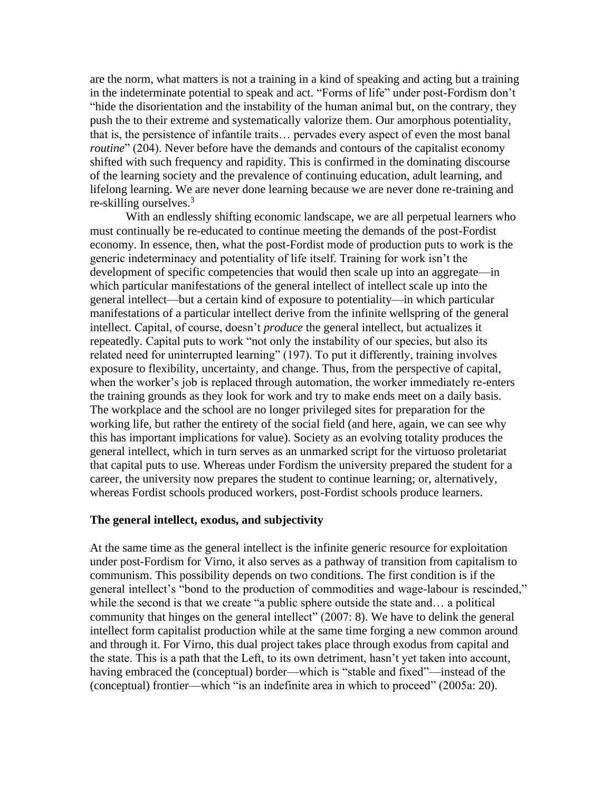are the norm, what matters is not a training in a kind of speaking and acting but a training in the indeterminate potential to speak and act. "Forms of life" under post-Fordism don't "hide the disorientation and the instability of the human animal but, on the contrary, they push the to their extreme and systematically valorize them. Our amorphous potentiality, that is, the persistence of infantile traits… pervades every aspect of even the most banal *routine*" (204). Never before have the demands and contours of the capitalist economy shifted with such frequency and rapidity. This is confirmed in the dominating discourse of the learning society and the prevalence of continuing education, adult learning, and lifelong learning. We are never done learning because we are never done re-training and re-skilling ourselves.<sup>3</sup>

With an endlessly shifting economic landscape, we are all perpetual learners who must continually be re-educated to continue meeting the demands of the post-Fordist economy. In essence, then, what the post-Fordist mode of production puts to work is the generic indeterminacy and potentiality of life itself. Training for work isn't the development of specific competencies that would then scale up into an aggregate—in which particular manifestations of the general intellect of intellect scale up into the general intellect—but a certain kind of exposure to potentiality—in which particular manifestations of a particular intellect derive from the infinite wellspring of the general intellect. Capital, of course, doesn't *produce* the general intellect, but actualizes it repeatedly. Capital puts to work "not only the instability of our species, but also its related need for uninterrupted learning" (197). To put it differently, training involves exposure to flexibility, uncertainty, and change. Thus, from the perspective of capital, when the worker's job is replaced through automation, the worker immediately re-enters the training grounds as they look for work and try to make ends meet on a daily basis. The workplace and the school are no longer privileged sites for preparation for the working life, but rather the entirety of the social field (and here, again, we can see why this has important implications for value). Society as an evolving totality produces the general intellect, which in turn serves as an unmarked script for the virtuoso proletariat that capital puts to use. Whereas under Fordism the university prepared the student for a career, the university now prepares the student to continue learning; or, alternatively, whereas Fordist schools produced workers, post-Fordist schools produce learners.

#### **The general intellect, exodus, and subjectivity**

At the same time as the general intellect is the infinite generic resource for exploitation under post-Fordism for Virno, it also serves as a pathway of transition from capitalism to communism. This possibility depends on two conditions. The first condition is if the general intellect's "bond to the production of commodities and wage-labour is rescinded," while the second is that we create "a public sphere outside the state and... a political community that hinges on the general intellect" (2007: 8). We have to delink the general intellect form capitalist production while at the same time forging a new common around and through it. For Virno, this dual project takes place through exodus from capital and the state. This is a path that the Left, to its own detriment, hasn't yet taken into account, having embraced the (conceptual) border—which is "stable and fixed"—instead of the (conceptual) frontier—which "is an indefinite area in which to proceed" (2005a: 20).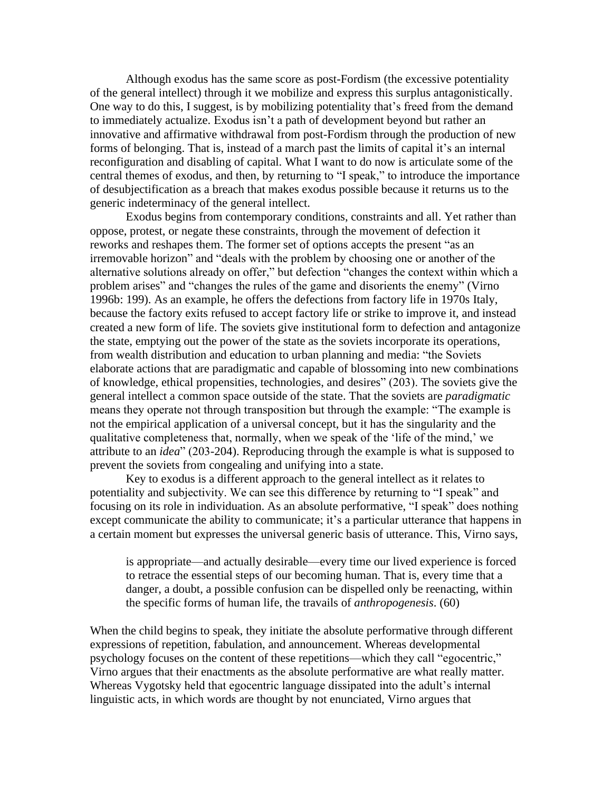Although exodus has the same score as post-Fordism (the excessive potentiality of the general intellect) through it we mobilize and express this surplus antagonistically. One way to do this, I suggest, is by mobilizing potentiality that's freed from the demand to immediately actualize. Exodus isn't a path of development beyond but rather an innovative and affirmative withdrawal from post-Fordism through the production of new forms of belonging. That is, instead of a march past the limits of capital it's an internal reconfiguration and disabling of capital. What I want to do now is articulate some of the central themes of exodus, and then, by returning to "I speak," to introduce the importance of desubjectification as a breach that makes exodus possible because it returns us to the generic indeterminacy of the general intellect.

Exodus begins from contemporary conditions, constraints and all. Yet rather than oppose, protest, or negate these constraints, through the movement of defection it reworks and reshapes them. The former set of options accepts the present "as an irremovable horizon" and "deals with the problem by choosing one or another of the alternative solutions already on offer," but defection "changes the context within which a problem arises" and "changes the rules of the game and disorients the enemy" (Virno 1996b: 199). As an example, he offers the defections from factory life in 1970s Italy, because the factory exits refused to accept factory life or strike to improve it, and instead created a new form of life. The soviets give institutional form to defection and antagonize the state, emptying out the power of the state as the soviets incorporate its operations, from wealth distribution and education to urban planning and media: "the Soviets elaborate actions that are paradigmatic and capable of blossoming into new combinations of knowledge, ethical propensities, technologies, and desires" (203). The soviets give the general intellect a common space outside of the state. That the soviets are *paradigmatic* means they operate not through transposition but through the example: "The example is not the empirical application of a universal concept, but it has the singularity and the qualitative completeness that, normally, when we speak of the 'life of the mind,' we attribute to an *idea*" (203-204). Reproducing through the example is what is supposed to prevent the soviets from congealing and unifying into a state.

Key to exodus is a different approach to the general intellect as it relates to potentiality and subjectivity. We can see this difference by returning to "I speak" and focusing on its role in individuation. As an absolute performative, "I speak" does nothing except communicate the ability to communicate; it's a particular utterance that happens in a certain moment but expresses the universal generic basis of utterance. This, Virno says,

is appropriate—and actually desirable—every time our lived experience is forced to retrace the essential steps of our becoming human. That is, every time that a danger, a doubt, a possible confusion can be dispelled only be reenacting, within the specific forms of human life, the travails of *anthropogenesis*. (60)

When the child begins to speak, they initiate the absolute performative through different expressions of repetition, fabulation, and announcement. Whereas developmental psychology focuses on the content of these repetitions—which they call "egocentric," Virno argues that their enactments as the absolute performative are what really matter. Whereas Vygotsky held that egocentric language dissipated into the adult's internal linguistic acts, in which words are thought by not enunciated, Virno argues that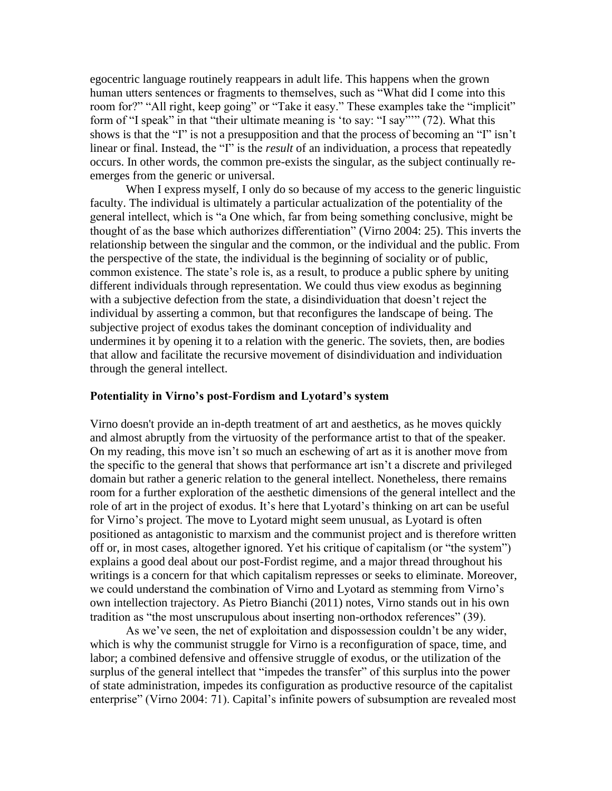egocentric language routinely reappears in adult life. This happens when the grown human utters sentences or fragments to themselves, such as "What did I come into this room for?" "All right, keep going" or "Take it easy." These examples take the "implicit" form of "I speak" in that "their ultimate meaning is 'to say: "I say"'" (72). What this shows is that the "I" is not a presupposition and that the process of becoming an "I" isn't linear or final. Instead, the "I" is the *result* of an individuation, a process that repeatedly occurs. In other words, the common pre-exists the singular, as the subject continually reemerges from the generic or universal.

When I express myself, I only do so because of my access to the generic linguistic faculty. The individual is ultimately a particular actualization of the potentiality of the general intellect, which is "a One which, far from being something conclusive, might be thought of as the base which authorizes differentiation" (Virno 2004: 25). This inverts the relationship between the singular and the common, or the individual and the public. From the perspective of the state, the individual is the beginning of sociality or of public, common existence. The state's role is, as a result, to produce a public sphere by uniting different individuals through representation. We could thus view exodus as beginning with a subjective defection from the state, a disindividuation that doesn't reject the individual by asserting a common, but that reconfigures the landscape of being. The subjective project of exodus takes the dominant conception of individuality and undermines it by opening it to a relation with the generic. The soviets, then, are bodies that allow and facilitate the recursive movement of disindividuation and individuation through the general intellect.

#### **Potentiality in Virno's post-Fordism and Lyotard's system**

Virno doesn't provide an in-depth treatment of art and aesthetics, as he moves quickly and almost abruptly from the virtuosity of the performance artist to that of the speaker. On my reading, this move isn't so much an eschewing of art as it is another move from the specific to the general that shows that performance art isn't a discrete and privileged domain but rather a generic relation to the general intellect. Nonetheless, there remains room for a further exploration of the aesthetic dimensions of the general intellect and the role of art in the project of exodus. It's here that Lyotard's thinking on art can be useful for Virno's project. The move to Lyotard might seem unusual, as Lyotard is often positioned as antagonistic to marxism and the communist project and is therefore written off or, in most cases, altogether ignored. Yet his critique of capitalism (or "the system") explains a good deal about our post-Fordist regime, and a major thread throughout his writings is a concern for that which capitalism represses or seeks to eliminate. Moreover, we could understand the combination of Virno and Lyotard as stemming from Virno's own intellection trajectory. As Pietro Bianchi (2011) notes, Virno stands out in his own tradition as "the most unscrupulous about inserting non-orthodox references" (39).

As we've seen, the net of exploitation and dispossession couldn't be any wider, which is why the communist struggle for Virno is a reconfiguration of space, time, and labor; a combined defensive and offensive struggle of exodus, or the utilization of the surplus of the general intellect that "impedes the transfer" of this surplus into the power of state administration, impedes its configuration as productive resource of the capitalist enterprise" (Virno 2004: 71). Capital's infinite powers of subsumption are revealed most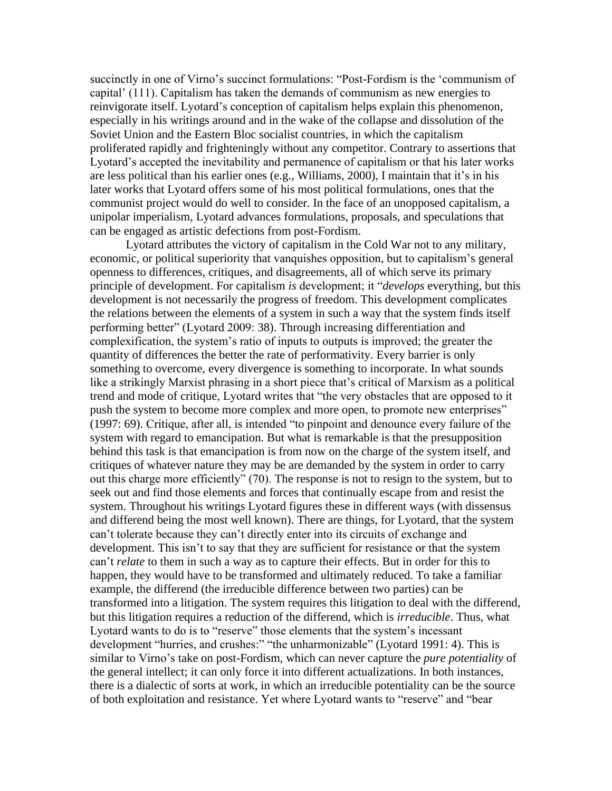succinctly in one of Virno's succinct formulations: "Post-Fordism is the 'communism of capital' (111). Capitalism has taken the demands of communism as new energies to reinvigorate itself. Lyotard's conception of capitalism helps explain this phenomenon, especially in his writings around and in the wake of the collapse and dissolution of the Soviet Union and the Eastern Bloc socialist countries, in which the capitalism proliferated rapidly and frighteningly without any competitor. Contrary to assertions that Lyotard's accepted the inevitability and permanence of capitalism or that his later works are less political than his earlier ones (e.g., Williams, 2000), I maintain that it's in his later works that Lyotard offers some of his most political formulations, ones that the communist project would do well to consider. In the face of an unopposed capitalism, a unipolar imperialism, Lyotard advances formulations, proposals, and speculations that can be engaged as artistic defections from post-Fordism.

Lyotard attributes the victory of capitalism in the Cold War not to any military, economic, or political superiority that vanquishes opposition, but to capitalism's general openness to differences, critiques, and disagreements, all of which serve its primary principle of development. For capitalism *is* development; it "*develops* everything, but this development is not necessarily the progress of freedom. This development complicates the relations between the elements of a system in such a way that the system finds itself performing better" (Lyotard 2009: 38). Through increasing differentiation and complexification, the system's ratio of inputs to outputs is improved; the greater the quantity of differences the better the rate of performativity. Every barrier is only something to overcome, every divergence is something to incorporate. In what sounds like a strikingly Marxist phrasing in a short piece that's critical of Marxism as a political trend and mode of critique, Lyotard writes that "the very obstacles that are opposed to it push the system to become more complex and more open, to promote new enterprises" (1997: 69). Critique, after all, is intended "to pinpoint and denounce every failure of the system with regard to emancipation. But what is remarkable is that the presupposition behind this task is that emancipation is from now on the charge of the system itself, and critiques of whatever nature they may be are demanded by the system in order to carry out this charge more efficiently" (70). The response is not to resign to the system, but to seek out and find those elements and forces that continually escape from and resist the system. Throughout his writings Lyotard figures these in different ways (with dissensus and differend being the most well known). There are things, for Lyotard, that the system can't tolerate because they can't directly enter into its circuits of exchange and development. This isn't to say that they are sufficient for resistance or that the system can't *relate* to them in such a way as to capture their effects. But in order for this to happen, they would have to be transformed and ultimately reduced. To take a familiar example, the differend (the irreducible difference between two parties) can be transformed into a litigation. The system requires this litigation to deal with the differend, but this litigation requires a reduction of the differend, which is *irreducible*. Thus, what Lyotard wants to do is to "reserve" those elements that the system's incessant development "hurries, and crushes:" "the unharmonizable" (Lyotard 1991: 4). This is similar to Virno's take on post-Fordism, which can never capture the *pure potentiality* of the general intellect; it can only force it into different actualizations. In both instances, there is a dialectic of sorts at work, in which an irreducible potentiality can be the source of both exploitation and resistance. Yet where Lyotard wants to "reserve" and "bear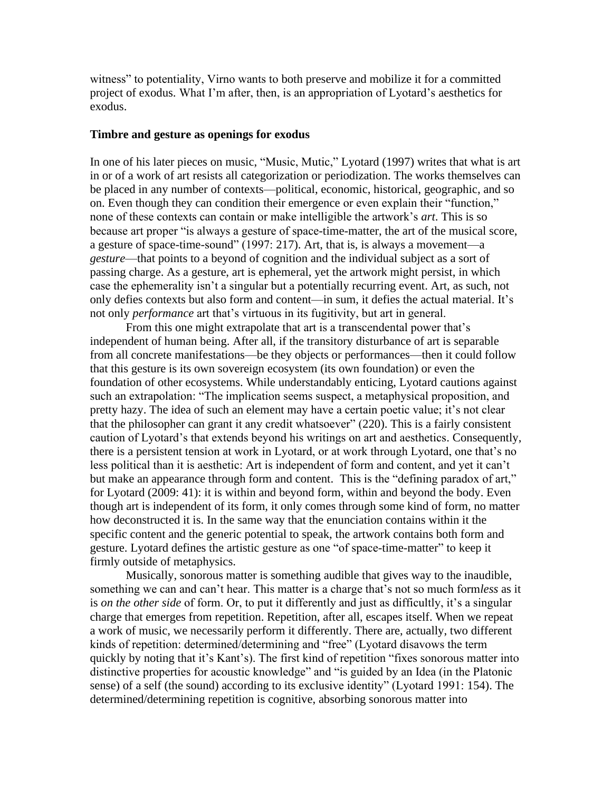witness" to potentiality, Virno wants to both preserve and mobilize it for a committed project of exodus. What I'm after, then, is an appropriation of Lyotard's aesthetics for exodus.

#### **Timbre and gesture as openings for exodus**

In one of his later pieces on music, "Music, Mutic," Lyotard (1997) writes that what is art in or of a work of art resists all categorization or periodization. The works themselves can be placed in any number of contexts—political, economic, historical, geographic, and so on. Even though they can condition their emergence or even explain their "function," none of these contexts can contain or make intelligible the artwork's *art*. This is so because art proper "is always a gesture of space-time-matter, the art of the musical score, a gesture of space-time-sound" (1997: 217). Art, that is, is always a movement—a *gesture*—that points to a beyond of cognition and the individual subject as a sort of passing charge. As a gesture, art is ephemeral, yet the artwork might persist, in which case the ephemerality isn't a singular but a potentially recurring event. Art, as such, not only defies contexts but also form and content—in sum, it defies the actual material. It's not only *performance* art that's virtuous in its fugitivity, but art in general.

From this one might extrapolate that art is a transcendental power that's independent of human being. After all, if the transitory disturbance of art is separable from all concrete manifestations—be they objects or performances—then it could follow that this gesture is its own sovereign ecosystem (its own foundation) or even the foundation of other ecosystems. While understandably enticing, Lyotard cautions against such an extrapolation: "The implication seems suspect, a metaphysical proposition, and pretty hazy. The idea of such an element may have a certain poetic value; it's not clear that the philosopher can grant it any credit whatsoever" (220). This is a fairly consistent caution of Lyotard's that extends beyond his writings on art and aesthetics. Consequently, there is a persistent tension at work in Lyotard, or at work through Lyotard, one that's no less political than it is aesthetic: Art is independent of form and content, and yet it can't but make an appearance through form and content. This is the "defining paradox of art," for Lyotard (2009: 41): it is within and beyond form, within and beyond the body. Even though art is independent of its form, it only comes through some kind of form, no matter how deconstructed it is. In the same way that the enunciation contains within it the specific content and the generic potential to speak, the artwork contains both form and gesture. Lyotard defines the artistic gesture as one "of space-time-matter" to keep it firmly outside of metaphysics.

Musically, sonorous matter is something audible that gives way to the inaudible, something we can and can't hear. This matter is a charge that's not so much form*less* as it is *on the other side* of form. Or, to put it differently and just as difficultly, it's a singular charge that emerges from repetition. Repetition, after all, escapes itself. When we repeat a work of music, we necessarily perform it differently. There are, actually, two different kinds of repetition: determined/determining and "free" (Lyotard disavows the term quickly by noting that it's Kant's). The first kind of repetition "fixes sonorous matter into distinctive properties for acoustic knowledge" and "is guided by an Idea (in the Platonic sense) of a self (the sound) according to its exclusive identity" (Lyotard 1991: 154). The determined/determining repetition is cognitive, absorbing sonorous matter into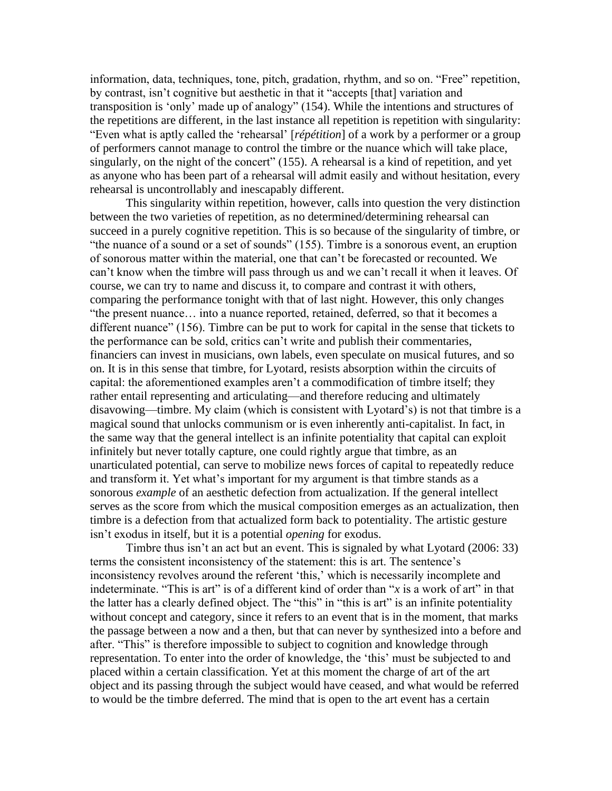information, data, techniques, tone, pitch, gradation, rhythm, and so on. "Free" repetition, by contrast, isn't cognitive but aesthetic in that it "accepts [that] variation and transposition is 'only' made up of analogy" (154). While the intentions and structures of the repetitions are different, in the last instance all repetition is repetition with singularity: "Even what is aptly called the 'rehearsal' [*répétition*] of a work by a performer or a group of performers cannot manage to control the timbre or the nuance which will take place, singularly, on the night of the concert" (155). A rehearsal is a kind of repetition, and yet as anyone who has been part of a rehearsal will admit easily and without hesitation, every rehearsal is uncontrollably and inescapably different.

This singularity within repetition, however, calls into question the very distinction between the two varieties of repetition, as no determined/determining rehearsal can succeed in a purely cognitive repetition. This is so because of the singularity of timbre, or "the nuance of a sound or a set of sounds" (155). Timbre is a sonorous event, an eruption of sonorous matter within the material, one that can't be forecasted or recounted. We can't know when the timbre will pass through us and we can't recall it when it leaves. Of course, we can try to name and discuss it, to compare and contrast it with others, comparing the performance tonight with that of last night. However, this only changes "the present nuance… into a nuance reported, retained, deferred, so that it becomes a different nuance" (156). Timbre can be put to work for capital in the sense that tickets to the performance can be sold, critics can't write and publish their commentaries, financiers can invest in musicians, own labels, even speculate on musical futures, and so on. It is in this sense that timbre, for Lyotard, resists absorption within the circuits of capital: the aforementioned examples aren't a commodification of timbre itself; they rather entail representing and articulating—and therefore reducing and ultimately disavowing—timbre. My claim (which is consistent with Lyotard's) is not that timbre is a magical sound that unlocks communism or is even inherently anti-capitalist. In fact, in the same way that the general intellect is an infinite potentiality that capital can exploit infinitely but never totally capture, one could rightly argue that timbre, as an unarticulated potential, can serve to mobilize news forces of capital to repeatedly reduce and transform it. Yet what's important for my argument is that timbre stands as a sonorous *example* of an aesthetic defection from actualization. If the general intellect serves as the score from which the musical composition emerges as an actualization, then timbre is a defection from that actualized form back to potentiality. The artistic gesture isn't exodus in itself, but it is a potential *opening* for exodus.

Timbre thus isn't an act but an event. This is signaled by what Lyotard (2006: 33) terms the consistent inconsistency of the statement: this is art. The sentence's inconsistency revolves around the referent 'this,' which is necessarily incomplete and indeterminate. "This is art" is of a different kind of order than "*x* is a work of art" in that the latter has a clearly defined object. The "this" in "this is art" is an infinite potentiality without concept and category, since it refers to an event that is in the moment, that marks the passage between a now and a then, but that can never by synthesized into a before and after. "This" is therefore impossible to subject to cognition and knowledge through representation. To enter into the order of knowledge, the 'this' must be subjected to and placed within a certain classification. Yet at this moment the charge of art of the art object and its passing through the subject would have ceased, and what would be referred to would be the timbre deferred. The mind that is open to the art event has a certain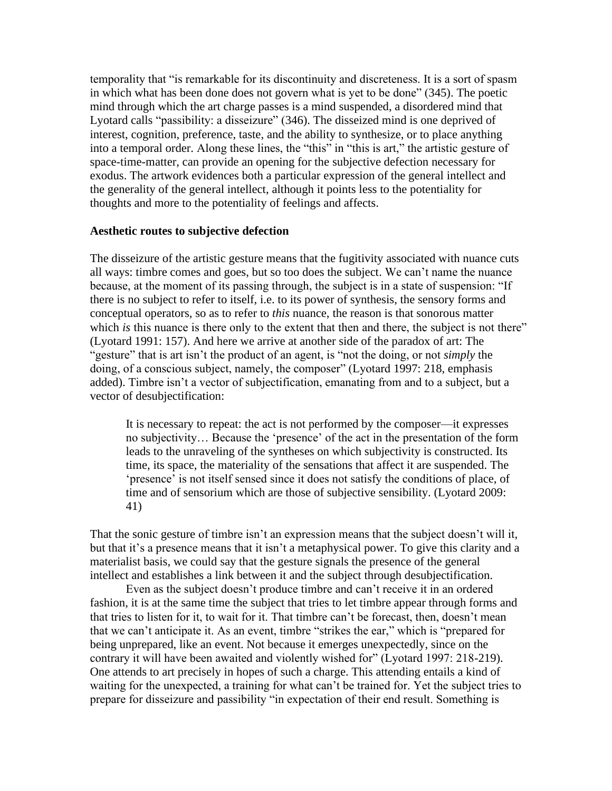temporality that "is remarkable for its discontinuity and discreteness. It is a sort of spasm in which what has been done does not govern what is yet to be done" (345). The poetic mind through which the art charge passes is a mind suspended, a disordered mind that Lyotard calls "passibility: a disseizure" (346). The disseized mind is one deprived of interest, cognition, preference, taste, and the ability to synthesize, or to place anything into a temporal order. Along these lines, the "this" in "this is art," the artistic gesture of space-time-matter, can provide an opening for the subjective defection necessary for exodus. The artwork evidences both a particular expression of the general intellect and the generality of the general intellect, although it points less to the potentiality for thoughts and more to the potentiality of feelings and affects.

#### **Aesthetic routes to subjective defection**

The disseizure of the artistic gesture means that the fugitivity associated with nuance cuts all ways: timbre comes and goes, but so too does the subject. We can't name the nuance because, at the moment of its passing through, the subject is in a state of suspension: "If there is no subject to refer to itself, i.e. to its power of synthesis, the sensory forms and conceptual operators, so as to refer to *this* nuance, the reason is that sonorous matter which *is* this nuance is there only to the extent that then and there, the subject is not there" (Lyotard 1991: 157). And here we arrive at another side of the paradox of art: The "gesture" that is art isn't the product of an agent, is "not the doing, or not *simply* the doing, of a conscious subject, namely, the composer" (Lyotard 1997: 218, emphasis added). Timbre isn't a vector of subjectification, emanating from and to a subject, but a vector of desubjectification:

It is necessary to repeat: the act is not performed by the composer—it expresses no subjectivity… Because the 'presence' of the act in the presentation of the form leads to the unraveling of the syntheses on which subjectivity is constructed. Its time, its space, the materiality of the sensations that affect it are suspended. The 'presence' is not itself sensed since it does not satisfy the conditions of place, of time and of sensorium which are those of subjective sensibility. (Lyotard 2009: 41)

That the sonic gesture of timbre isn't an expression means that the subject doesn't will it, but that it's a presence means that it isn't a metaphysical power. To give this clarity and a materialist basis, we could say that the gesture signals the presence of the general intellect and establishes a link between it and the subject through desubjectification.

Even as the subject doesn't produce timbre and can't receive it in an ordered fashion, it is at the same time the subject that tries to let timbre appear through forms and that tries to listen for it, to wait for it. That timbre can't be forecast, then, doesn't mean that we can't anticipate it. As an event, timbre "strikes the ear," which is "prepared for being unprepared, like an event. Not because it emerges unexpectedly, since on the contrary it will have been awaited and violently wished for" (Lyotard 1997: 218-219). One attends to art precisely in hopes of such a charge. This attending entails a kind of waiting for the unexpected, a training for what can't be trained for. Yet the subject tries to prepare for disseizure and passibility "in expectation of their end result. Something is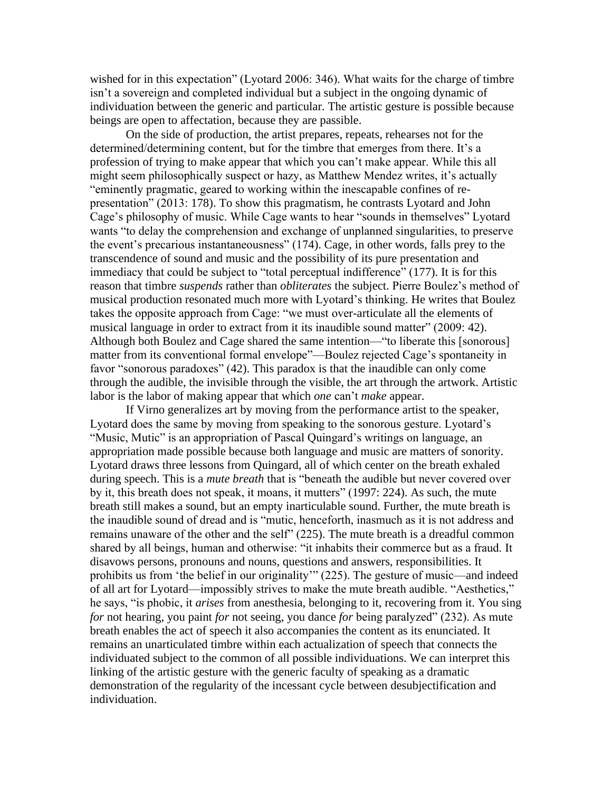wished for in this expectation" (Lyotard 2006: 346). What waits for the charge of timbre isn't a sovereign and completed individual but a subject in the ongoing dynamic of individuation between the generic and particular. The artistic gesture is possible because beings are open to affectation, because they are passible.

On the side of production, the artist prepares, repeats, rehearses not for the determined/determining content, but for the timbre that emerges from there. It's a profession of trying to make appear that which you can't make appear. While this all might seem philosophically suspect or hazy, as Matthew Mendez writes, it's actually "eminently pragmatic, geared to working within the inescapable confines of representation" (2013: 178). To show this pragmatism, he contrasts Lyotard and John Cage's philosophy of music. While Cage wants to hear "sounds in themselves" Lyotard wants "to delay the comprehension and exchange of unplanned singularities, to preserve the event's precarious instantaneousness" (174). Cage, in other words, falls prey to the transcendence of sound and music and the possibility of its pure presentation and immediacy that could be subject to "total perceptual indifference" (177). It is for this reason that timbre *suspends* rather than *obliterates* the subject. Pierre Boulez's method of musical production resonated much more with Lyotard's thinking. He writes that Boulez takes the opposite approach from Cage: "we must over-articulate all the elements of musical language in order to extract from it its inaudible sound matter" (2009: 42). Although both Boulez and Cage shared the same intention—"to liberate this [sonorous] matter from its conventional formal envelope"—Boulez rejected Cage's spontaneity in favor "sonorous paradoxes" (42). This paradox is that the inaudible can only come through the audible, the invisible through the visible, the art through the artwork. Artistic labor is the labor of making appear that which *one* can't *make* appear.

If Virno generalizes art by moving from the performance artist to the speaker, Lyotard does the same by moving from speaking to the sonorous gesture. Lyotard's "Music, Mutic" is an appropriation of Pascal Quingard's writings on language, an appropriation made possible because both language and music are matters of sonority. Lyotard draws three lessons from Quingard, all of which center on the breath exhaled during speech. This is a *mute breath* that is "beneath the audible but never covered over by it, this breath does not speak, it moans, it mutters" (1997: 224). As such, the mute breath still makes a sound, but an empty inarticulable sound. Further, the mute breath is the inaudible sound of dread and is "mutic, henceforth, inasmuch as it is not address and remains unaware of the other and the self" (225). The mute breath is a dreadful common shared by all beings, human and otherwise: "it inhabits their commerce but as a fraud. It disavows persons, pronouns and nouns, questions and answers, responsibilities. It prohibits us from 'the belief in our originality'" (225). The gesture of music—and indeed of all art for Lyotard—impossibly strives to make the mute breath audible. "Aesthetics," he says, "is phobic, it *arises* from anesthesia, belonging to it, recovering from it. You sing *for* not hearing, you paint *for* not seeing, you dance *for* being paralyzed" (232). As mute breath enables the act of speech it also accompanies the content as its enunciated. It remains an unarticulated timbre within each actualization of speech that connects the individuated subject to the common of all possible individuations. We can interpret this linking of the artistic gesture with the generic faculty of speaking as a dramatic demonstration of the regularity of the incessant cycle between desubjectification and individuation.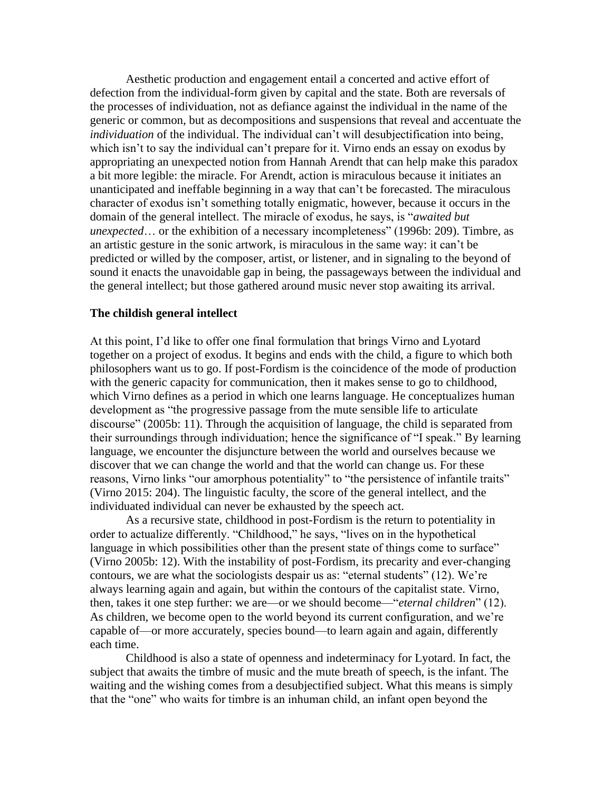Aesthetic production and engagement entail a concerted and active effort of defection from the individual-form given by capital and the state. Both are reversals of the processes of individuation, not as defiance against the individual in the name of the generic or common, but as decompositions and suspensions that reveal and accentuate the *individuation* of the individual. The individual can't will desubjectification into being, which isn't to say the individual can't prepare for it. Virno ends an essay on exodus by appropriating an unexpected notion from Hannah Arendt that can help make this paradox a bit more legible: the miracle. For Arendt, action is miraculous because it initiates an unanticipated and ineffable beginning in a way that can't be forecasted. The miraculous character of exodus isn't something totally enigmatic, however, because it occurs in the domain of the general intellect. The miracle of exodus, he says, is "*awaited but unexpected*… or the exhibition of a necessary incompleteness" (1996b: 209). Timbre, as an artistic gesture in the sonic artwork, is miraculous in the same way: it can't be predicted or willed by the composer, artist, or listener, and in signaling to the beyond of sound it enacts the unavoidable gap in being, the passageways between the individual and the general intellect; but those gathered around music never stop awaiting its arrival.

## **The childish general intellect**

At this point, I'd like to offer one final formulation that brings Virno and Lyotard together on a project of exodus. It begins and ends with the child, a figure to which both philosophers want us to go. If post-Fordism is the coincidence of the mode of production with the generic capacity for communication, then it makes sense to go to childhood, which Virno defines as a period in which one learns language. He conceptualizes human development as "the progressive passage from the mute sensible life to articulate discourse" (2005b: 11). Through the acquisition of language, the child is separated from their surroundings through individuation; hence the significance of "I speak." By learning language, we encounter the disjuncture between the world and ourselves because we discover that we can change the world and that the world can change us. For these reasons, Virno links "our amorphous potentiality" to "the persistence of infantile traits" (Virno 2015: 204). The linguistic faculty, the score of the general intellect, and the individuated individual can never be exhausted by the speech act.

As a recursive state, childhood in post-Fordism is the return to potentiality in order to actualize differently. "Childhood," he says, "lives on in the hypothetical language in which possibilities other than the present state of things come to surface" (Virno 2005b: 12). With the instability of post-Fordism, its precarity and ever-changing contours, we are what the sociologists despair us as: "eternal students" (12). We're always learning again and again, but within the contours of the capitalist state. Virno, then, takes it one step further: we are—or we should become—"*eternal children*" (12). As children, we become open to the world beyond its current configuration, and we're capable of—or more accurately, species bound—to learn again and again, differently each time.

Childhood is also a state of openness and indeterminacy for Lyotard. In fact, the subject that awaits the timbre of music and the mute breath of speech, is the infant. The waiting and the wishing comes from a desubjectified subject. What this means is simply that the "one" who waits for timbre is an inhuman child, an infant open beyond the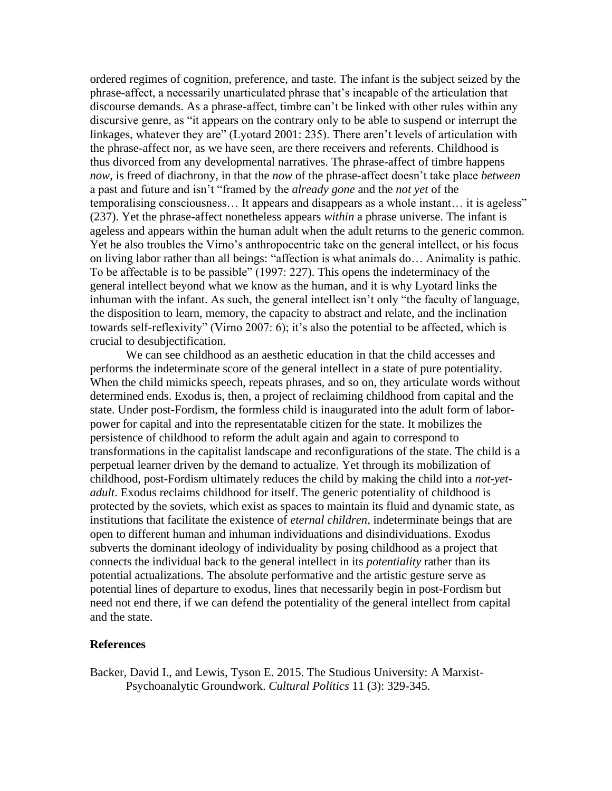ordered regimes of cognition, preference, and taste. The infant is the subject seized by the phrase-affect, a necessarily unarticulated phrase that's incapable of the articulation that discourse demands. As a phrase-affect, timbre can't be linked with other rules within any discursive genre, as "it appears on the contrary only to be able to suspend or interrupt the linkages, whatever they are" (Lyotard 2001: 235). There aren't levels of articulation with the phrase-affect nor, as we have seen, are there receivers and referents. Childhood is thus divorced from any developmental narratives. The phrase-affect of timbre happens *now*, is freed of diachrony, in that the *now* of the phrase-affect doesn't take place *between* a past and future and isn't "framed by the *already gone* and the *not yet* of the temporalising consciousness… It appears and disappears as a whole instant… it is ageless" (237). Yet the phrase-affect nonetheless appears *within* a phrase universe. The infant is ageless and appears within the human adult when the adult returns to the generic common. Yet he also troubles the Virno's anthropocentric take on the general intellect, or his focus on living labor rather than all beings: "affection is what animals do… Animality is pathic. To be affectable is to be passible" (1997: 227). This opens the indeterminacy of the general intellect beyond what we know as the human, and it is why Lyotard links the inhuman with the infant. As such, the general intellect isn't only "the faculty of language, the disposition to learn, memory, the capacity to abstract and relate, and the inclination towards self-reflexivity" (Virno 2007: 6); it's also the potential to be affected, which is crucial to desubjectification.

We can see childhood as an aesthetic education in that the child accesses and performs the indeterminate score of the general intellect in a state of pure potentiality. When the child mimicks speech, repeats phrases, and so on, they articulate words without determined ends. Exodus is, then, a project of reclaiming childhood from capital and the state. Under post-Fordism, the formless child is inaugurated into the adult form of laborpower for capital and into the representatable citizen for the state. It mobilizes the persistence of childhood to reform the adult again and again to correspond to transformations in the capitalist landscape and reconfigurations of the state. The child is a perpetual learner driven by the demand to actualize. Yet through its mobilization of childhood, post-Fordism ultimately reduces the child by making the child into a *not-yetadult*. Exodus reclaims childhood for itself. The generic potentiality of childhood is protected by the soviets, which exist as spaces to maintain its fluid and dynamic state, as institutions that facilitate the existence of *eternal children*, indeterminate beings that are open to different human and inhuman individuations and disindividuations. Exodus subverts the dominant ideology of individuality by posing childhood as a project that connects the individual back to the general intellect in its *potentiality* rather than its potential actualizations. The absolute performative and the artistic gesture serve as potential lines of departure to exodus, lines that necessarily begin in post-Fordism but need not end there, if we can defend the potentiality of the general intellect from capital and the state.

#### **References**

Backer, David I., and Lewis, Tyson E. 2015. The Studious University: A Marxist-Psychoanalytic Groundwork. *Cultural Politics* 11 (3): 329-345.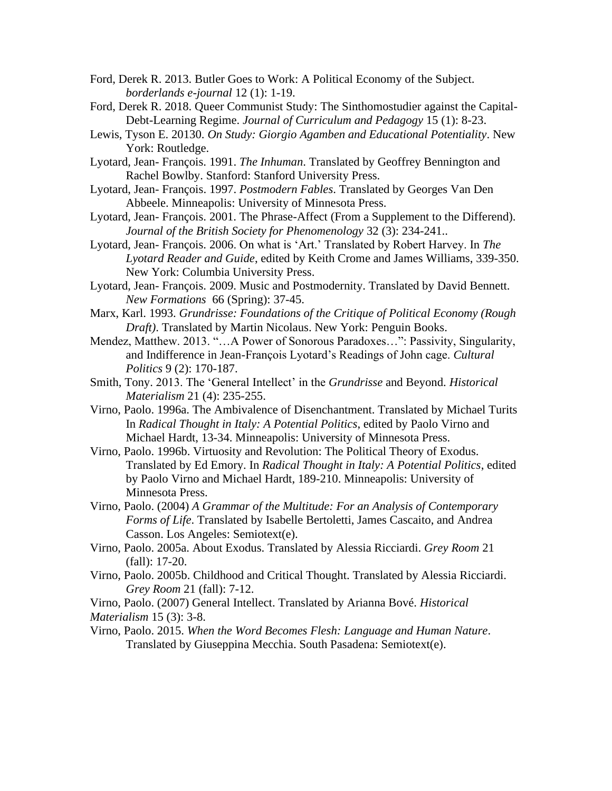- Ford, Derek R. 2013. Butler Goes to Work: A Political Economy of the Subject. *borderlands e-journal* 12 (1): 1-19.
- Ford, Derek R. 2018. Queer Communist Study: The Sinthomostudier against the Capital-Debt-Learning Regime. *Journal of Curriculum and Pedagogy* 15 (1): 8-23.
- Lewis, Tyson E. 20130. *On Study: Giorgio Agamben and Educational Potentiality*. New York: Routledge.
- Lyotard, Jean- François. 1991. *The Inhuman*. Translated by Geoffrey Bennington and Rachel Bowlby. Stanford: Stanford University Press.
- Lyotard, Jean- François. 1997. *Postmodern Fables*. Translated by Georges Van Den Abbeele. Minneapolis: University of Minnesota Press.
- Lyotard, Jean- François. 2001. The Phrase-Affect (From a Supplement to the Differend). *Journal of the British Society for Phenomenology* 32 (3): 234-241..
- Lyotard, Jean- François. 2006. On what is 'Art.' Translated by Robert Harvey. In *The Lyotard Reader and Guide*, edited by Keith Crome and James Williams, 339-350. New York: Columbia University Press.
- Lyotard, Jean- François. 2009. Music and Postmodernity. Translated by David Bennett. *New Formations* 66 (Spring): 37-45.
- Marx, Karl. 1993. *Grundrisse: Foundations of the Critique of Political Economy (Rough Draft)*. Translated by Martin Nicolaus. New York: Penguin Books.
- Mendez, Matthew. 2013. "…A Power of Sonorous Paradoxes…": Passivity, Singularity, and Indifference in Jean-François Lyotard's Readings of John cage. *Cultural Politics* 9 (2): 170-187.
- Smith, Tony. 2013. The 'General Intellect' in the *Grundrisse* and Beyond. *Historical Materialism* 21 (4): 235-255.
- Virno, Paolo. 1996a. The Ambivalence of Disenchantment. Translated by Michael Turits In *Radical Thought in Italy: A Potential Politics*, edited by Paolo Virno and Michael Hardt, 13-34. Minneapolis: University of Minnesota Press.
- Virno, Paolo. 1996b. Virtuosity and Revolution: The Political Theory of Exodus. Translated by Ed Emory. In *Radical Thought in Italy: A Potential Politics*, edited by Paolo Virno and Michael Hardt, 189-210. Minneapolis: University of Minnesota Press.
- Virno, Paolo. (2004) *A Grammar of the Multitude: For an Analysis of Contemporary Forms of Life*. Translated by Isabelle Bertoletti, James Cascaito, and Andrea Casson. Los Angeles: Semiotext(e).
- Virno, Paolo. 2005a. About Exodus. Translated by Alessia Ricciardi. *Grey Room* 21 (fall): 17-20.
- Virno, Paolo. 2005b. Childhood and Critical Thought. Translated by Alessia Ricciardi. *Grey Room* 21 (fall): 7-12.

Virno, Paolo. (2007) General Intellect. Translated by Arianna Bové. *Historical Materialism* 15 (3): 3-8.

Virno, Paolo. 2015. *When the Word Becomes Flesh: Language and Human Nature*. Translated by Giuseppina Mecchia. South Pasadena: Semiotext(e).